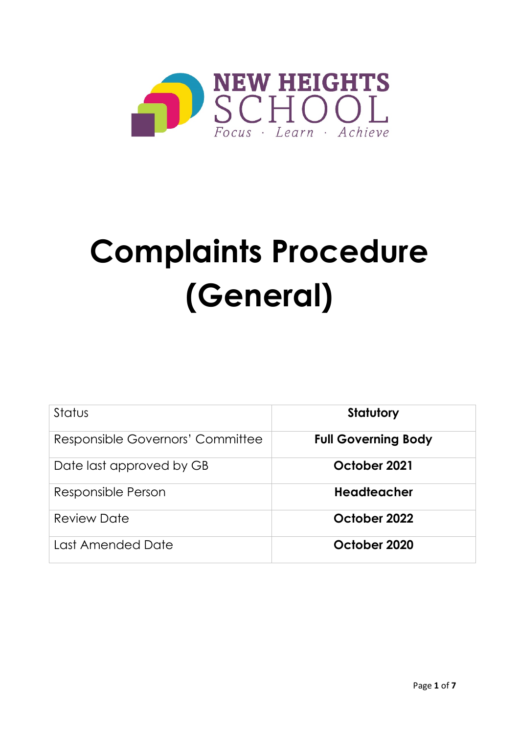

# **Complaints Procedure (General)**

| Status                           | <b>Statutory</b>           |
|----------------------------------|----------------------------|
| Responsible Governors' Committee | <b>Full Governing Body</b> |
| Date last approved by GB         | October 2021               |
| Responsible Person               | <b>Headteacher</b>         |
| <b>Review Date</b>               | October 2022               |
| Last Amended Date                | October 2020               |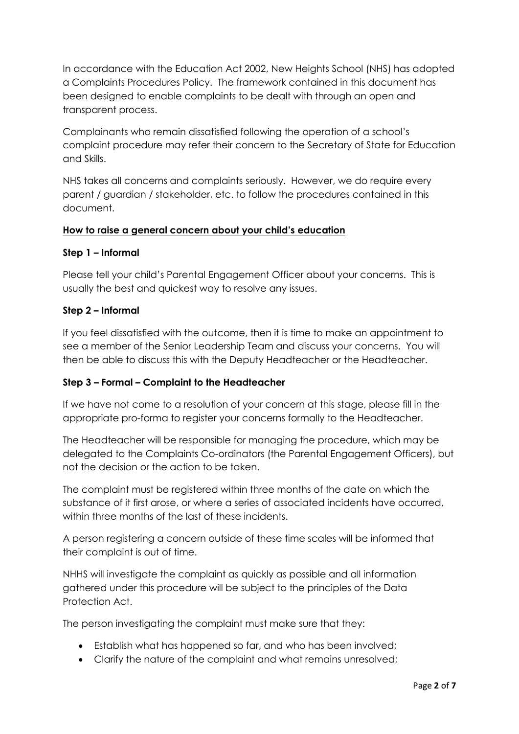In accordance with the Education Act 2002, New Heights School (NHS) has adopted a Complaints Procedures Policy. The framework contained in this document has been designed to enable complaints to be dealt with through an open and transparent process.

Complainants who remain dissatisfied following the operation of a school's complaint procedure may refer their concern to the Secretary of State for Education and Skills.

NHS takes all concerns and complaints seriously. However, we do require every parent / guardian / stakeholder, etc. to follow the procedures contained in this document.

## **How to raise a general concern about your child's education**

#### **Step 1 – Informal**

Please tell your child's Parental Engagement Officer about your concerns. This is usually the best and quickest way to resolve any issues.

#### **Step 2 – Informal**

If you feel dissatisfied with the outcome, then it is time to make an appointment to see a member of the Senior Leadership Team and discuss your concerns. You will then be able to discuss this with the Deputy Headteacher or the Headteacher.

## **Step 3 – Formal – Complaint to the Headteacher**

If we have not come to a resolution of your concern at this stage, please fill in the appropriate pro-forma to register your concerns formally to the Headteacher.

The Headteacher will be responsible for managing the procedure, which may be delegated to the Complaints Co-ordinators (the Parental Engagement Officers), but not the decision or the action to be taken.

The complaint must be registered within three months of the date on which the substance of it first arose, or where a series of associated incidents have occurred, within three months of the last of these incidents.

A person registering a concern outside of these time scales will be informed that their complaint is out of time.

NHHS will investigate the complaint as quickly as possible and all information gathered under this procedure will be subject to the principles of the Data Protection Act.

The person investigating the complaint must make sure that they:

- Establish what has happened so far, and who has been involved;
- Clarify the nature of the complaint and what remains unresolved;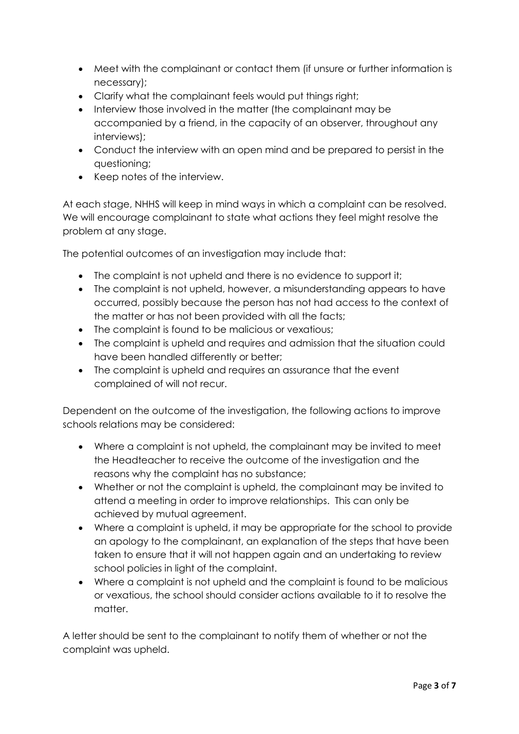- Meet with the complainant or contact them (if unsure or further information is necessary);
- Clarify what the complainant feels would put things right;
- Interview those involved in the matter (the complainant may be accompanied by a friend, in the capacity of an observer, throughout any interviews);
- Conduct the interview with an open mind and be prepared to persist in the questioning;
- Keep notes of the interview.

At each stage, NHHS will keep in mind ways in which a complaint can be resolved. We will encourage complainant to state what actions they feel might resolve the problem at any stage.

The potential outcomes of an investigation may include that:

- The complaint is not upheld and there is no evidence to support it;
- The complaint is not upheld, however, a misunderstanding appears to have occurred, possibly because the person has not had access to the context of the matter or has not been provided with all the facts;
- The complaint is found to be malicious or vexatious:
- The complaint is upheld and requires and admission that the situation could have been handled differently or better;
- The complaint is upheld and requires an assurance that the event complained of will not recur.

Dependent on the outcome of the investigation, the following actions to improve schools relations may be considered:

- Where a complaint is not upheld, the complainant may be invited to meet the Headteacher to receive the outcome of the investigation and the reasons why the complaint has no substance;
- Whether or not the complaint is upheld, the complainant may be invited to attend a meeting in order to improve relationships. This can only be achieved by mutual agreement.
- Where a complaint is upheld, it may be appropriate for the school to provide an apology to the complainant, an explanation of the steps that have been taken to ensure that it will not happen again and an undertaking to review school policies in light of the complaint.
- Where a complaint is not upheld and the complaint is found to be malicious or vexatious, the school should consider actions available to it to resolve the matter.

A letter should be sent to the complainant to notify them of whether or not the complaint was upheld.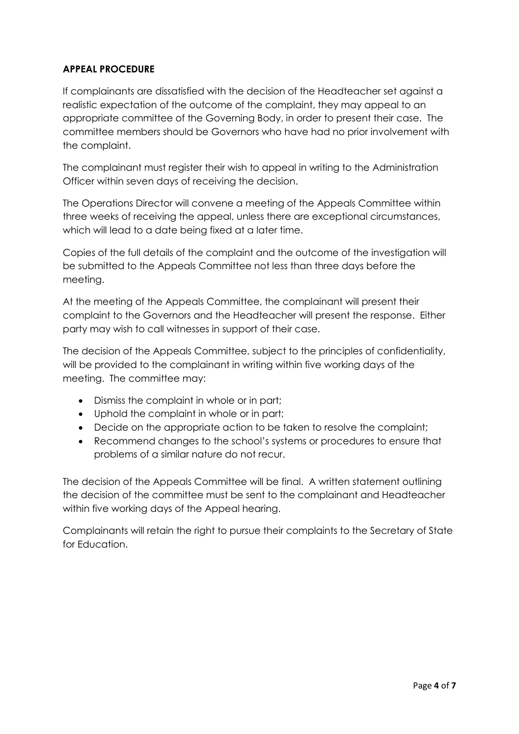# **APPEAL PROCEDURE**

If complainants are dissatisfied with the decision of the Headteacher set against a realistic expectation of the outcome of the complaint, they may appeal to an appropriate committee of the Governing Body, in order to present their case. The committee members should be Governors who have had no prior involvement with the complaint.

The complainant must register their wish to appeal in writing to the Administration Officer within seven days of receiving the decision.

The Operations Director will convene a meeting of the Appeals Committee within three weeks of receiving the appeal, unless there are exceptional circumstances, which will lead to a date being fixed at a later time.

Copies of the full details of the complaint and the outcome of the investigation will be submitted to the Appeals Committee not less than three days before the meeting.

At the meeting of the Appeals Committee, the complainant will present their complaint to the Governors and the Headteacher will present the response. Either party may wish to call witnesses in support of their case.

The decision of the Appeals Committee, subject to the principles of confidentiality, will be provided to the complainant in writing within five working days of the meeting. The committee may:

- Dismiss the complaint in whole or in part;
- Uphold the complaint in whole or in part;
- Decide on the appropriate action to be taken to resolve the complaint;
- Recommend changes to the school's systems or procedures to ensure that problems of a similar nature do not recur.

The decision of the Appeals Committee will be final. A written statement outlining the decision of the committee must be sent to the complainant and Headteacher within five working days of the Appeal hearing.

Complainants will retain the right to pursue their complaints to the Secretary of State for Education.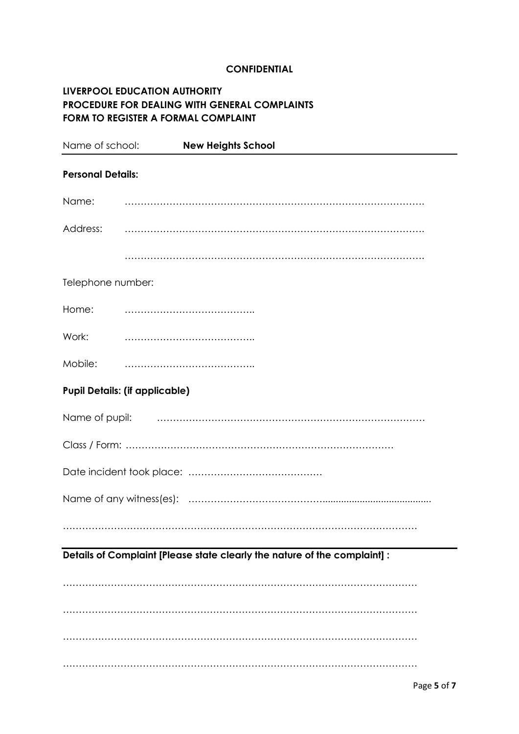#### **CONFIDENTIAL**

# **LIVERPOOL EDUCATION AUTHORITY PROCEDURE FOR DEALING WITH GENERAL COMPLAINTS FORM TO REGISTER A FORMAL COMPLAINT**

| Name of school:          | <b>New Heights School</b>                                                 |
|--------------------------|---------------------------------------------------------------------------|
| <b>Personal Details:</b> |                                                                           |
| Name:                    |                                                                           |
| Address:                 |                                                                           |
|                          |                                                                           |
| Telephone number:        |                                                                           |
| Home:                    |                                                                           |
| Work:                    |                                                                           |
| Mobile:                  |                                                                           |
|                          | <b>Pupil Details: (if applicable)</b>                                     |
|                          |                                                                           |
|                          |                                                                           |
|                          |                                                                           |
|                          |                                                                           |
|                          |                                                                           |
|                          | Details of Complaint [Please state clearly the nature of the complaint] : |
|                          |                                                                           |
|                          |                                                                           |
|                          |                                                                           |
|                          |                                                                           |
|                          |                                                                           |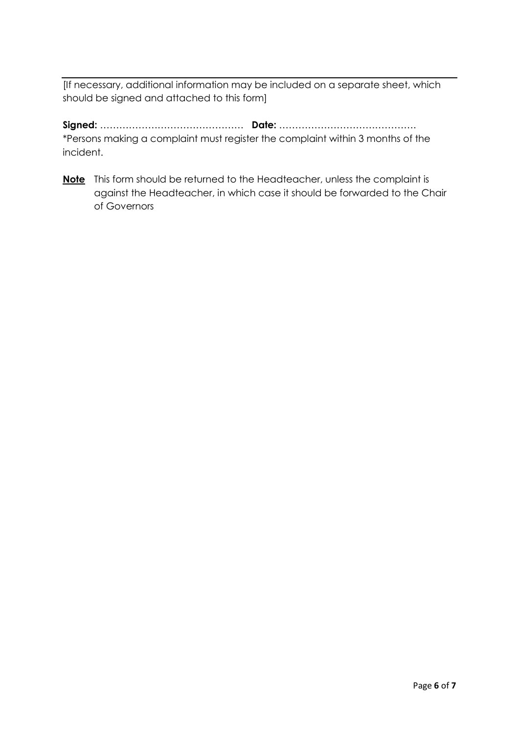[If necessary, additional information may be included on a separate sheet, which should be signed and attached to this form]

**Signed:** ……………………………………… **Date:** ……………………………………. \*Persons making a complaint must register the complaint within 3 months of the incident.

**Note** This form should be returned to the Headteacher, unless the complaint is against the Headteacher, in which case it should be forwarded to the Chair of Governors